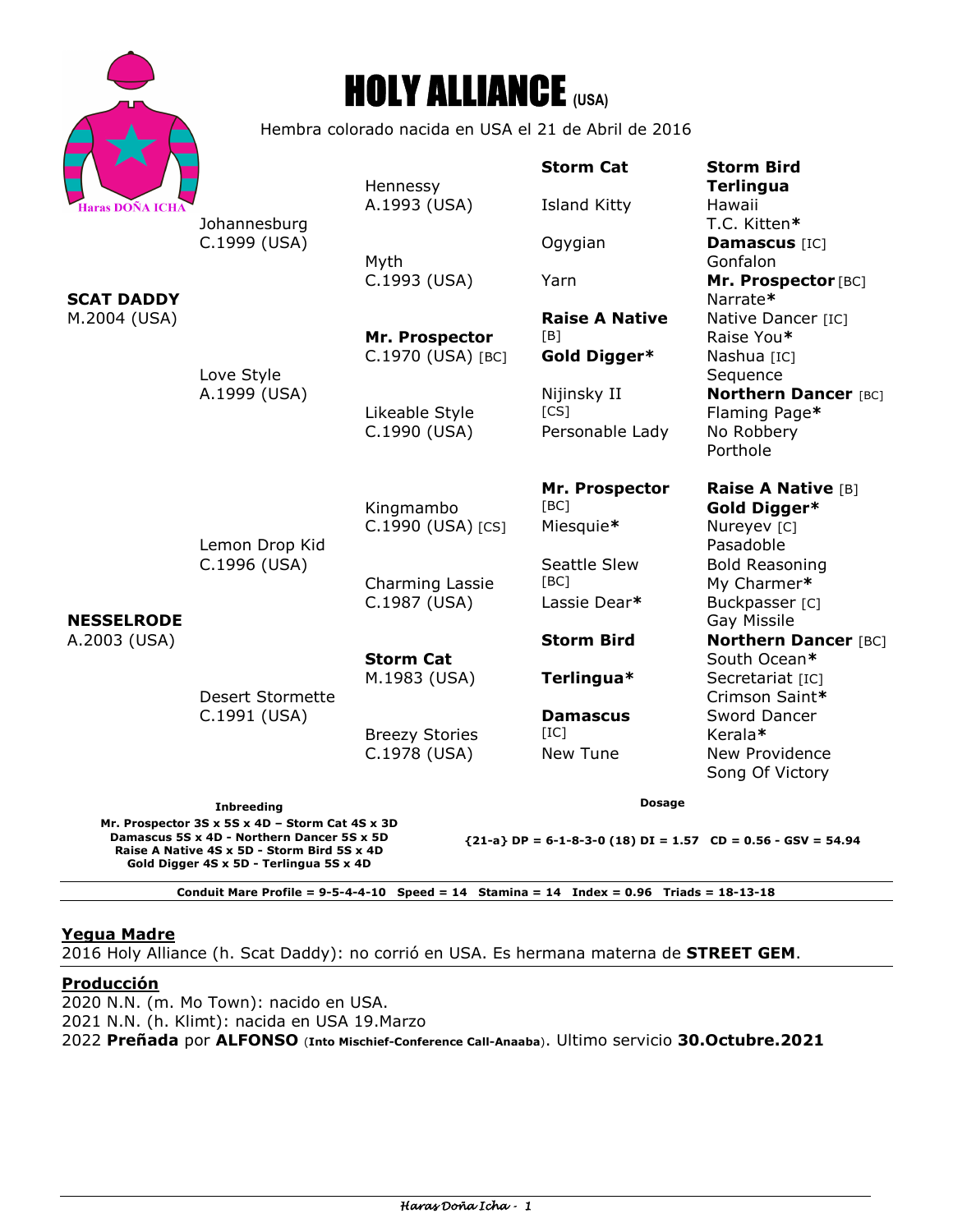



Hembra colorado nacida en USA el 21 de Abril de 2016

|                                                                                                                                              | Johannesburg<br>C.1999 (USA)                                              | Hennessy                              | <b>Storm Cat</b>                                               | <b>Storm Bird</b><br><b>Terlingua</b>                                              |  |
|----------------------------------------------------------------------------------------------------------------------------------------------|---------------------------------------------------------------------------|---------------------------------------|----------------------------------------------------------------|------------------------------------------------------------------------------------|--|
| <b>Haras DOÑA ICHA</b><br>SCAT DADDY<br>M.2004 (USA)                                                                                         |                                                                           | A.1993 (USA)                          | <b>Island Kitty</b>                                            | Hawaii<br>T.C. Kitten*                                                             |  |
|                                                                                                                                              |                                                                           | Myth                                  | Ogygian                                                        | Damascus [IC]<br>Gonfalon                                                          |  |
|                                                                                                                                              |                                                                           | C.1993 (USA)                          | Yarn                                                           | Mr. Prospector [BC]<br>Narrate*                                                    |  |
|                                                                                                                                              |                                                                           | Mr. Prospector<br>C.1970 (USA) [BC]   | <b>Raise A Native</b><br>[B]<br>Gold Digger*                   | Native Dancer [IC]<br>Raise You*<br>Nashua [IC]                                    |  |
|                                                                                                                                              | Love Style<br>A.1999 (USA)                                                | Likeable Style<br>C.1990 (USA)        | Nijinsky II<br>[CS]<br>Personable Lady                         | Sequence<br><b>Northern Dancer [BC]</b><br>Flaming Page*<br>No Robbery<br>Porthole |  |
| <b>NESSELRODE</b><br>A.2003 (USA)                                                                                                            | Lemon Drop Kid<br>C.1996 (USA)<br><b>Desert Stormette</b><br>C.1991 (USA) | Kingmambo<br>C.1990 (USA) [CS]        | Mr. Prospector<br>[BC]<br>Miesquie*                            | <b>Raise A Native [B]</b><br>Gold Digger*<br>Nureyev [C]                           |  |
|                                                                                                                                              |                                                                           | Charming Lassie<br>C.1987 (USA)       | Seattle Slew<br>[BC]<br>Lassie Dear*                           | Pasadoble<br><b>Bold Reasoning</b><br>My Charmer*<br>Buckpasser [C]                |  |
|                                                                                                                                              |                                                                           | <b>Storm Cat</b>                      | <b>Storm Bird</b>                                              | Gay Missile<br><b>Northern Dancer [BC]</b><br>South Ocean*                         |  |
|                                                                                                                                              |                                                                           | M.1983 (USA)                          | Terlingua*                                                     | Secretariat [IC]<br>Crimson Saint*                                                 |  |
|                                                                                                                                              |                                                                           | <b>Breezy Stories</b><br>C.1978 (USA) | <b>Damascus</b><br>[IC]<br><b>New Tune</b>                     | Sword Dancer<br>Kerala*<br>New Providence<br>Song Of Victory                       |  |
| <b>Inbreeding</b>                                                                                                                            |                                                                           |                                       | <b>Dosage</b>                                                  |                                                                                    |  |
| Mr. Prospector 3S x 5S x 4D - Storm Cat 4S x 3D<br>Damascus 5S x 4D - Northern Dancer 5S x 5D<br>Raise A Native 4S x 5D - Storm Bird 5S x 4D |                                                                           |                                       | ${21-a}$ DP = 6-1-8-3-0 (18) DI = 1.57 CD = 0.56 - GSV = 54.94 |                                                                                    |  |

**Conduit Mare Profile = 9-5-4-4-10 Speed = 14 Stamina = 14 Index = 0.96 Triads = 18-13-18** 

### **Yegua Madre**

**Gold Digger 4S x 5D - Terlingua 5S x 4D** 

2016 Holy Alliance (h. Scat Daddy): no corrió en USA. Es hermana materna de **STREET GEM**.

# **Producción**

2020 N.N. (m. Mo Town): nacido en USA. 2021 N.N. (h. Klimt): nacida en USA 19.Marzo 2022 **Preñada** por **ALFONSO** (**Into Mischief-Conference Call-Anaaba**). Ultimo servicio **30.Octubre.2021**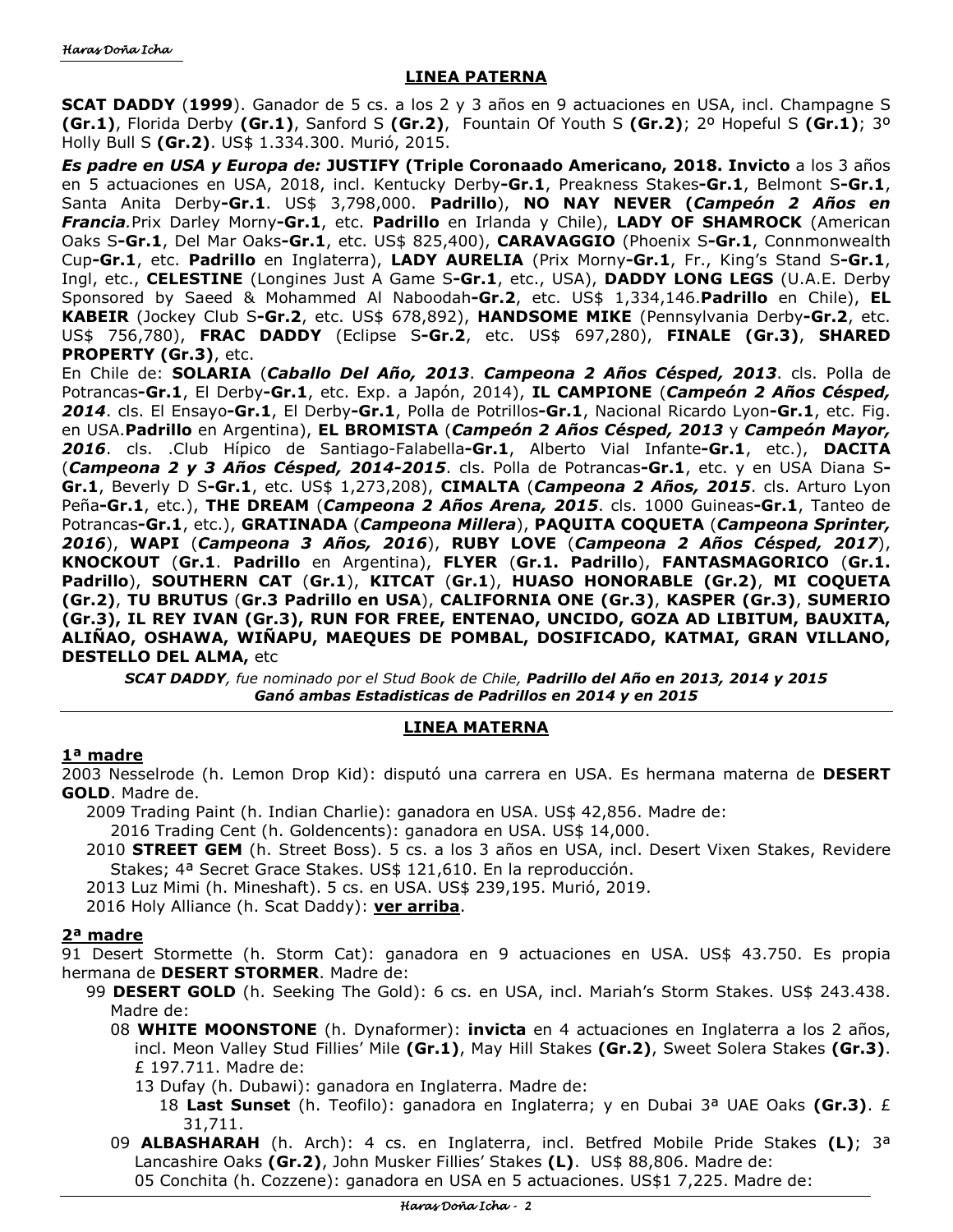# **LINEA PATERNA**

**SCAT DADDY** (**1999**). Ganador de 5 cs. a los 2 y 3 años en 9 actuaciones en USA, incl. Champagne S **(Gr.1)**, Florida Derby **(Gr.1)**, Sanford S **(Gr.2)**,Fountain Of Youth S **(Gr.2)**; 2º Hopeful S **(Gr.1)**; 3º Holly Bull S **(Gr.2)**. US\$ 1.334.300. Murió, 2015.

*Es padre en USA y Europa de:* **JUSTIFY (Triple Coronaado Americano, 2018. Invicto** a los 3 años en 5 actuaciones en USA, 2018, incl. Kentucky Derby**-Gr.1**, Preakness Stakes**-Gr.1**, Belmont S**-Gr.1**, Santa Anita Derby**-Gr.1**. US\$ 3,798,000. **Padrillo**), **NO NAY NEVER (***Campeón 2 Años en Francia.*Prix Darley Morny**-Gr.1**, etc. **Padrillo** en Irlanda y Chile), **LADY OF SHAMROCK** (American Oaks S**-Gr.1**, Del Mar Oaks**-Gr.1**, etc. US\$ 825,400), **CARAVAGGIO** (Phoenix S**-Gr.1**, Connmonwealth Cup**-Gr.1**, etc. **Padrillo** en Inglaterra), **LADY AURELIA** (Prix Morny**-Gr.1**, Fr., King's Stand S**-Gr.1**, Ingl, etc., **CELESTINE** (Longines Just A Game S**-Gr.1**, etc., USA), **DADDY LONG LEGS** (U.A.E. Derby Sponsored by Saeed & Mohammed Al Naboodah**-Gr.2**, etc. US\$ 1,334,146.**Padrillo** en Chile), **EL KABEIR** (Jockey Club S**-Gr.2**, etc. US\$ 678,892), **HANDSOME MIKE** (Pennsylvania Derby**-Gr.2**, etc. US\$ 756,780), **FRAC DADDY** (Eclipse S**-Gr.2**, etc. US\$ 697,280), **FINALE (Gr.3)**, **SHARED PROPERTY (Gr.3)**, etc.

En Chile de: **SOLARIA** (*Caballo Del Año, 2013*. *Campeona 2 Años Césped, 2013*. cls. Polla de Potrancas**-Gr.1**, El Derby**-Gr.1**, etc. Exp. a Japón, 2014), **IL CAMPIONE** (*Campeón 2 Años Césped, 2014*. cls. El Ensayo**-Gr.1**, El Derby**-Gr.1**, Polla de Potrillos**-Gr.1**, Nacional Ricardo Lyon**-Gr.1**, etc. Fig. en USA.**Padrillo** en Argentina), **EL BROMISTA** (*Campeón 2 Años Césped, 2013* y *Campeón Mayor, 2016*. cls. .Club Hípico de Santiago-Falabella**-Gr.1**, Alberto Vial Infante**-Gr.1**, etc.), **DACITA**  (*Campeona 2 y 3 Años Césped, 2014-2015*. cls. Polla de Potrancas**-Gr.1**, etc. y en USA Diana S**-Gr.1**, Beverly D S**-Gr.1**, etc. US\$ 1,273,208), **CIMALTA** (*Campeona 2 Años, 2015*. cls. Arturo Lyon Peña**-Gr.1**, etc.), **THE DREAM** (*Campeona 2 Años Arena, 2015*. cls. 1000 Guineas**-Gr.1**, Tanteo de Potrancas**-Gr.1**, etc.), **GRATINADA** (*Campeona Millera*), **PAQUITA COQUETA** (*Campeona Sprinter, 2016*), **WAPI** (*Campeona 3 Años, 2016*), **RUBY LOVE** (*Campeona 2 Años Césped, 2017*), **KNOCKOUT** (**Gr.1**. **Padrillo** en Argentina), **FLYER** (**Gr.1. Padrillo**), **FANTASMAGORICO** (**Gr.1. Padrillo**), **SOUTHERN CAT** (**Gr.1**), **KITCAT** (**Gr.1**), **HUASO HONORABLE (Gr.2)**, **MI COQUETA (Gr.2)**, **TU BRUTUS** (**Gr.3 Padrillo en USA**), **CALIFORNIA ONE (Gr.3)**, **KASPER (Gr.3)**, **SUMERIO (Gr.3), IL REY IVAN (Gr.3), RUN FOR FREE, ENTENAO, UNCIDO, GOZA AD LIBITUM, BAUXITA, ALIÑAO, OSHAWA, WIÑAPU, MAEQUES DE POMBAL, DOSIFICADO, KATMAI, GRAN VILLANO, DESTELLO DEL ALMA,** etc

*SCAT DADDY, fue nominado por el Stud Book de Chile, Padrillo del Año en 2013, 2014 y 2015 Ganó ambas Estadisticas de Padrillos en 2014 y en 2015* 

# **LINEA MATERNA**

### **1ª madre**

2003 Nesselrode (h. Lemon Drop Kid): disputó una carrera en USA. Es hermana materna de **DESERT GOLD**. Madre de.

2009 Trading Paint (h. Indian Charlie): ganadora en USA. US\$ 42,856. Madre de:

2016 Trading Cent (h. Goldencents): ganadora en USA. US\$ 14,000.

2010 **STREET GEM** (h. Street Boss). 5 cs. a los 3 años en USA, incl. Desert Vixen Stakes, Revidere Stakes; 4ª Secret Grace Stakes. US\$ 121,610. En la reproducción.

2013 Luz Mimi (h. Mineshaft). 5 cs. en USA. US\$ 239,195. Murió, 2019.

2016 Holy Alliance (h. Scat Daddy): **ver arriba**.

# **2ª madre**

91 Desert Stormette (h. Storm Cat): ganadora en 9 actuaciones en USA. US\$ 43.750. Es propia hermana de **DESERT STORMER**. Madre de:

- 99 **DESERT GOLD** (h. Seeking The Gold): 6 cs. en USA, incl. Mariah's Storm Stakes. US\$ 243.438. Madre de:
	- 08 **WHITE MOONSTONE** (h. Dynaformer): **invicta** en 4 actuaciones en Inglaterra a los 2 años, incl. Meon Valley Stud Fillies' Mile **(Gr.1)**, May Hill Stakes **(Gr.2)**, Sweet Solera Stakes **(Gr.3)**. £ 197.711. Madre de:
		- 13 Dufay (h. Dubawi): ganadora en Inglaterra. Madre de:
			- 18 **Last Sunset** (h. Teofilo): ganadora en Inglaterra; y en Dubai 3ª UAE Oaks **(Gr.3)**. £ 31,711.
	- 09 **ALBASHARAH** (h. Arch): 4 cs. en Inglaterra, incl. Betfred Mobile Pride Stakes **(L)**; 3ª Lancashire Oaks **(Gr.2)**, John Musker Fillies' Stakes **(L)**. US\$ 88,806. Madre de: 05 Conchita (h. Cozzene): ganadora en USA en 5 actuaciones. US\$1 7,225. Madre de: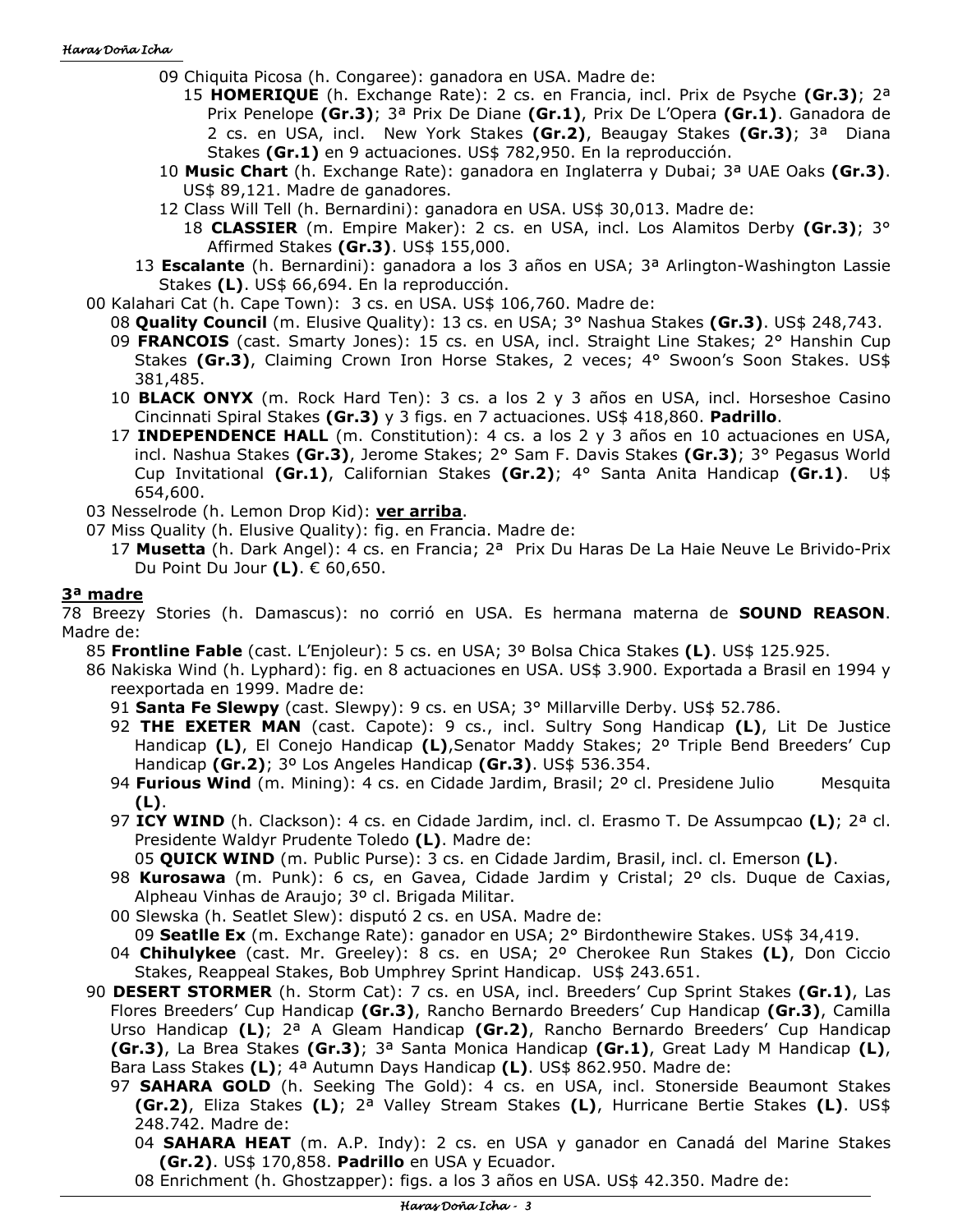- 09 Chiquita Picosa (h. Congaree): ganadora en USA. Madre de:
	- 15 **HOMERIQUE** (h. Exchange Rate): 2 cs. en Francia, incl. Prix de Psyche **(Gr.3)**; 2ª Prix Penelope **(Gr.3)**; 3ª Prix De Diane **(Gr.1)**, Prix De L'Opera **(Gr.1)**. Ganadora de 2 cs. en USA, incl. New York Stakes **(Gr.2)**, Beaugay Stakes **(Gr.3)**; 3ª Diana Stakes **(Gr.1)** en 9 actuaciones. US\$ 782,950. En la reproducción.
- 10 **Music Chart** (h. Exchange Rate): ganadora en Inglaterra y Dubai; 3ª UAE Oaks **(Gr.3)**. US\$ 89,121. Madre de ganadores.
- 12 Class Will Tell (h. Bernardini): ganadora en USA. US\$ 30,013. Madre de:
	- 18 **CLASSIER** (m. Empire Maker): 2 cs. en USA, incl. Los Alamitos Derby **(Gr.3)**; 3° Affirmed Stakes **(Gr.3)**. US\$ 155,000.
- 13 **Escalante** (h. Bernardini): ganadora a los 3 años en USA; 3ª Arlington-Washington Lassie Stakes **(L)**. US\$ 66,694. En la reproducción.
- 00 Kalahari Cat (h. Cape Town): 3 cs. en USA. US\$ 106,760. Madre de:
- 08 **Quality Council** (m. Elusive Quality): 13 cs. en USA; 3° Nashua Stakes **(Gr.3)**. US\$ 248,743.
	- 09 **FRANCOIS** (cast. Smarty Jones): 15 cs. en USA, incl. Straight Line Stakes; 2° Hanshin Cup Stakes **(Gr.3)**, Claiming Crown Iron Horse Stakes, 2 veces; 4° Swoon's Soon Stakes. US\$ 381,485.
	- 10 **BLACK ONYX** (m. Rock Hard Ten): 3 cs. a los 2 y 3 años en USA, incl. Horseshoe Casino Cincinnati Spiral Stakes **(Gr.3)** y 3 figs. en 7 actuaciones. US\$ 418,860. **Padrillo**.
	- 17 **INDEPENDENCE HALL** (m. Constitution): 4 cs. a los 2 y 3 años en 10 actuaciones en USA, incl. Nashua Stakes **(Gr.3)**, Jerome Stakes; 2° Sam F. Davis Stakes **(Gr.3)**; 3° Pegasus World Cup Invitational **(Gr.1)**, Californian Stakes **(Gr.2)**; 4° Santa Anita Handicap **(Gr.1)**. U\$ 654,600.
- 03 Nesselrode (h. Lemon Drop Kid): **ver arriba**.
- 07 Miss Quality (h. Elusive Quality): fig. en Francia. Madre de:
	- 17 **Musetta** (h. Dark Angel): 4 cs. en Francia; 2ª Prix Du Haras De La Haie Neuve Le Brivido-Prix Du Point Du Jour **(L)**. € 60,650.

#### **3ª madre**

78 Breezy Stories (h. Damascus): no corrió en USA. Es hermana materna de **SOUND REASON**. Madre de:

85 **Frontline Fable** (cast. L'Enjoleur): 5 cs. en USA; 3º Bolsa Chica Stakes **(L)**. US\$ 125.925.

- 86 Nakiska Wind (h. Lyphard): fig. en 8 actuaciones en USA. US\$ 3.900. Exportada a Brasil en 1994 y reexportada en 1999. Madre de:
	- 91 **Santa Fe Slewpy** (cast. Slewpy): 9 cs. en USA; 3° Millarville Derby. US\$ 52.786.
	- 92 **THE EXETER MAN** (cast. Capote): 9 cs., incl. Sultry Song Handicap **(L)**, Lit De Justice Handicap **(L)**, El Conejo Handicap **(L)**,Senator Maddy Stakes; 2º Triple Bend Breeders' Cup Handicap **(Gr.2)**; 3º Los Angeles Handicap **(Gr.3)**. US\$ 536.354.
	- 94 **Furious Wind** (m. Mining): 4 cs. en Cidade Jardim, Brasil; 2º cl. Presidene Julio Mesquita **(L)**.
	- 97 **ICY WIND** (h. Clackson): 4 cs. en Cidade Jardim, incl. cl. Erasmo T. De Assumpcao **(L)**; 2ª cl. Presidente Waldyr Prudente Toledo **(L)**. Madre de:

05 **QUICK WIND** (m. Public Purse): 3 cs. en Cidade Jardim, Brasil, incl. cl. Emerson **(L)**.

- 98 **Kurosawa** (m. Punk): 6 cs, en Gavea, Cidade Jardim y Cristal; 2º cls. Duque de Caxias, Alpheau Vinhas de Araujo; 3º cl. Brigada Militar.
- 00 Slewska (h. Seatlet Slew): disputó 2 cs. en USA. Madre de: 09 **Seatlle Ex** (m. Exchange Rate): ganador en USA; 2° Birdonthewire Stakes. US\$ 34,419.
- 04 **Chihulykee** (cast. Mr. Greeley): 8 cs. en USA; 2º Cherokee Run Stakes **(L)**, Don Ciccio Stakes, Reappeal Stakes, Bob Umphrey Sprint Handicap. US\$ 243.651.
- 90 **DESERT STORMER** (h. Storm Cat): 7 cs. en USA, incl. Breeders' Cup Sprint Stakes **(Gr.1)**, Las Flores Breeders' Cup Handicap **(Gr.3)**, Rancho Bernardo Breeders' Cup Handicap **(Gr.3)**, Camilla Urso Handicap **(L)**; 2ª A Gleam Handicap **(Gr.2)**, Rancho Bernardo Breeders' Cup Handicap **(Gr.3)**, La Brea Stakes **(Gr.3)**; 3ª Santa Monica Handicap **(Gr.1)**, Great Lady M Handicap **(L)**, Bara Lass Stakes **(L)**; 4ª Autumn Days Handicap **(L)**. US\$ 862.950. Madre de:
	- 97 **SAHARA GOLD** (h. Seeking The Gold): 4 cs. en USA, incl. Stonerside Beaumont Stakes **(Gr.2)**, Eliza Stakes **(L)**; 2ª Valley Stream Stakes **(L)**, Hurricane Bertie Stakes **(L)**. US\$ 248.742. Madre de:
		- 04 **SAHARA HEAT** (m. A.P. Indy): 2 cs. en USA y ganador en Canadá del Marine Stakes **(Gr.2)**. US\$ 170,858. **Padrillo** en USA y Ecuador.
		- 08 Enrichment (h. Ghostzapper): figs. a los 3 años en USA. US\$ 42.350. Madre de: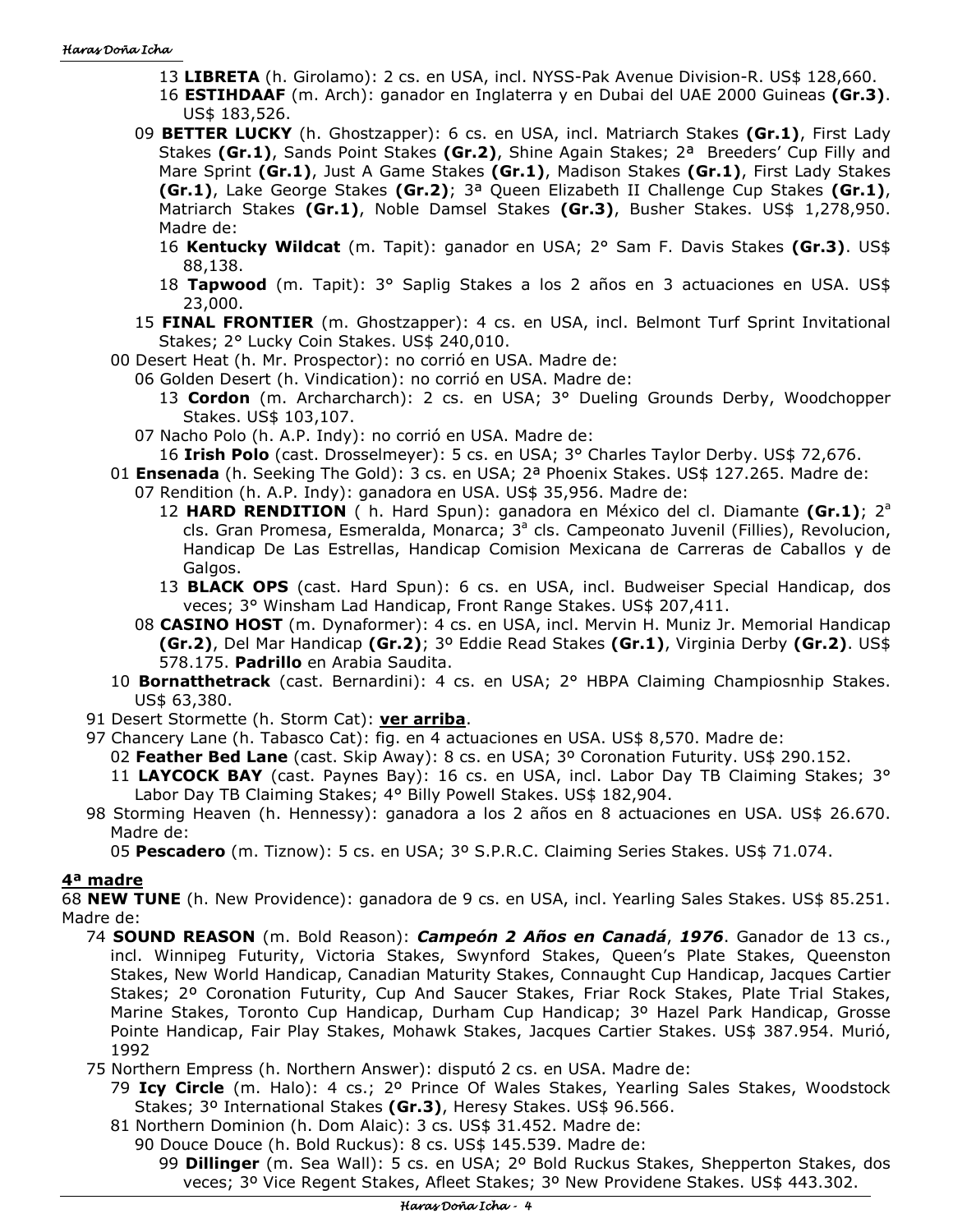- 13 **LIBRETA** (h. Girolamo): 2 cs. en USA, incl. NYSS-Pak Avenue Division-R. US\$ 128,660.
- 16 **ESTIHDAAF** (m. Arch): ganador en Inglaterra y en Dubai del UAE 2000 Guineas **(Gr.3)**. US\$ 183,526.
- 09 **BETTER LUCKY** (h. Ghostzapper): 6 cs. en USA, incl. Matriarch Stakes **(Gr.1)**, First Lady Stakes **(Gr.1)**, Sands Point Stakes **(Gr.2)**, Shine Again Stakes; 2ª Breeders' Cup Filly and Mare Sprint **(Gr.1)**, Just A Game Stakes **(Gr.1)**, Madison Stakes **(Gr.1)**, First Lady Stakes **(Gr.1)**, Lake George Stakes **(Gr.2)**; 3ª Queen Elizabeth II Challenge Cup Stakes **(Gr.1)**, Matriarch Stakes **(Gr.1)**, Noble Damsel Stakes **(Gr.3)**, Busher Stakes. US\$ 1,278,950. Madre de:
	- 16 **Kentucky Wildcat** (m. Tapit): ganador en USA; 2° Sam F. Davis Stakes **(Gr.3)**. US\$ 88,138.
	- 18 **Tapwood** (m. Tapit): 3° Saplig Stakes a los 2 años en 3 actuaciones en USA. US\$ 23,000.
- 15 **FINAL FRONTIER** (m. Ghostzapper): 4 cs. en USA, incl. Belmont Turf Sprint Invitational Stakes; 2° Lucky Coin Stakes. US\$ 240,010.

00 Desert Heat (h. Mr. Prospector): no corrió en USA. Madre de:

06 Golden Desert (h. Vindication): no corrió en USA. Madre de:

- 13 **Cordon** (m. Archarcharch): 2 cs. en USA; 3° Dueling Grounds Derby, Woodchopper Stakes. US\$ 103,107.
- 07 Nacho Polo (h. A.P. Indy): no corrió en USA. Madre de:
- 16 **Irish Polo** (cast. Drosselmeyer): 5 cs. en USA; 3° Charles Taylor Derby. US\$ 72,676.
- 01 **Ensenada** (h. Seeking The Gold): 3 cs. en USA; 2ª Phoenix Stakes. US\$ 127.265. Madre de: 07 Rendition (h. A.P. Indy): ganadora en USA. US\$ 35,956. Madre de:
	- 12 HARD RENDITION ( h. Hard Spun): ganadora en México del cl. Diamante (Gr.1); 2<sup>a</sup> cls. Gran Promesa, Esmeralda, Monarca; 3<sup>ª</sup> cls. Campeonato Juvenil (Fillies), Revolucion, Handicap De Las Estrellas, Handicap Comision Mexicana de Carreras de Caballos y de Galgos.
	- 13 **BLACK OPS** (cast. Hard Spun): 6 cs. en USA, incl. Budweiser Special Handicap, dos veces; 3° Winsham Lad Handicap, Front Range Stakes. US\$ 207,411.
	- 08 **CASINO HOST** (m. Dynaformer): 4 cs. en USA, incl. Mervin H. Muniz Jr. Memorial Handicap **(Gr.2)**, Del Mar Handicap **(Gr.2)**; 3º Eddie Read Stakes **(Gr.1)**, Virginia Derby **(Gr.2)**. US\$ 578.175. **Padrillo** en Arabia Saudita.
- 10 **Bornatthetrack** (cast. Bernardini): 4 cs. en USA; 2° HBPA Claiming Champiosnhip Stakes. US\$ 63,380.
- 91 Desert Stormette (h. Storm Cat): **ver arriba**.
- 97 Chancery Lane (h. Tabasco Cat): fig. en 4 actuaciones en USA. US\$ 8,570. Madre de:
	- 02 **Feather Bed Lane** (cast. Skip Away): 8 cs. en USA; 3º Coronation Futurity. US\$ 290.152.
	- 11 **LAYCOCK BAY** (cast. Paynes Bay): 16 cs. en USA, incl. Labor Day TB Claiming Stakes; 3° Labor Day TB Claiming Stakes; 4° Billy Powell Stakes. US\$ 182,904.
- 98 Storming Heaven (h. Hennessy): ganadora a los 2 años en 8 actuaciones en USA. US\$ 26.670. Madre de:
	- 05 **Pescadero** (m. Tiznow): 5 cs. en USA; 3º S.P.R.C. Claiming Series Stakes. US\$ 71.074.

### **4ª madre**

68 **NEW TUNE** (h. New Providence): ganadora de 9 cs. en USA, incl. Yearling Sales Stakes. US\$ 85.251. Madre de:

74 **SOUND REASON** (m. Bold Reason): *Campeón 2 Años en Canadá*, *1976*. Ganador de 13 cs., incl. Winnipeg Futurity, Victoria Stakes, Swynford Stakes, Queen's Plate Stakes, Queenston Stakes, New World Handicap, Canadian Maturity Stakes, Connaught Cup Handicap, Jacques Cartier Stakes; 2º Coronation Futurity, Cup And Saucer Stakes, Friar Rock Stakes, Plate Trial Stakes, Marine Stakes, Toronto Cup Handicap, Durham Cup Handicap; 3º Hazel Park Handicap, Grosse Pointe Handicap, Fair Play Stakes, Mohawk Stakes, Jacques Cartier Stakes. US\$ 387.954. Murió, 1992

75 Northern Empress (h. Northern Answer): disputó 2 cs. en USA. Madre de:

- 79 **Icy Circle** (m. Halo): 4 cs.; 2º Prince Of Wales Stakes, Yearling Sales Stakes, Woodstock Stakes; 3º International Stakes **(Gr.3)**, Heresy Stakes. US\$ 96.566.
- 81 Northern Dominion (h. Dom Alaic): 3 cs. US\$ 31.452. Madre de:
	- 90 Douce Douce (h. Bold Ruckus): 8 cs. US\$ 145.539. Madre de:

99 **Dillinger** (m. Sea Wall): 5 cs. en USA; 2º Bold Ruckus Stakes, Shepperton Stakes, dos veces; 3º Vice Regent Stakes, Afleet Stakes; 3º New Providene Stakes. US\$ 443.302.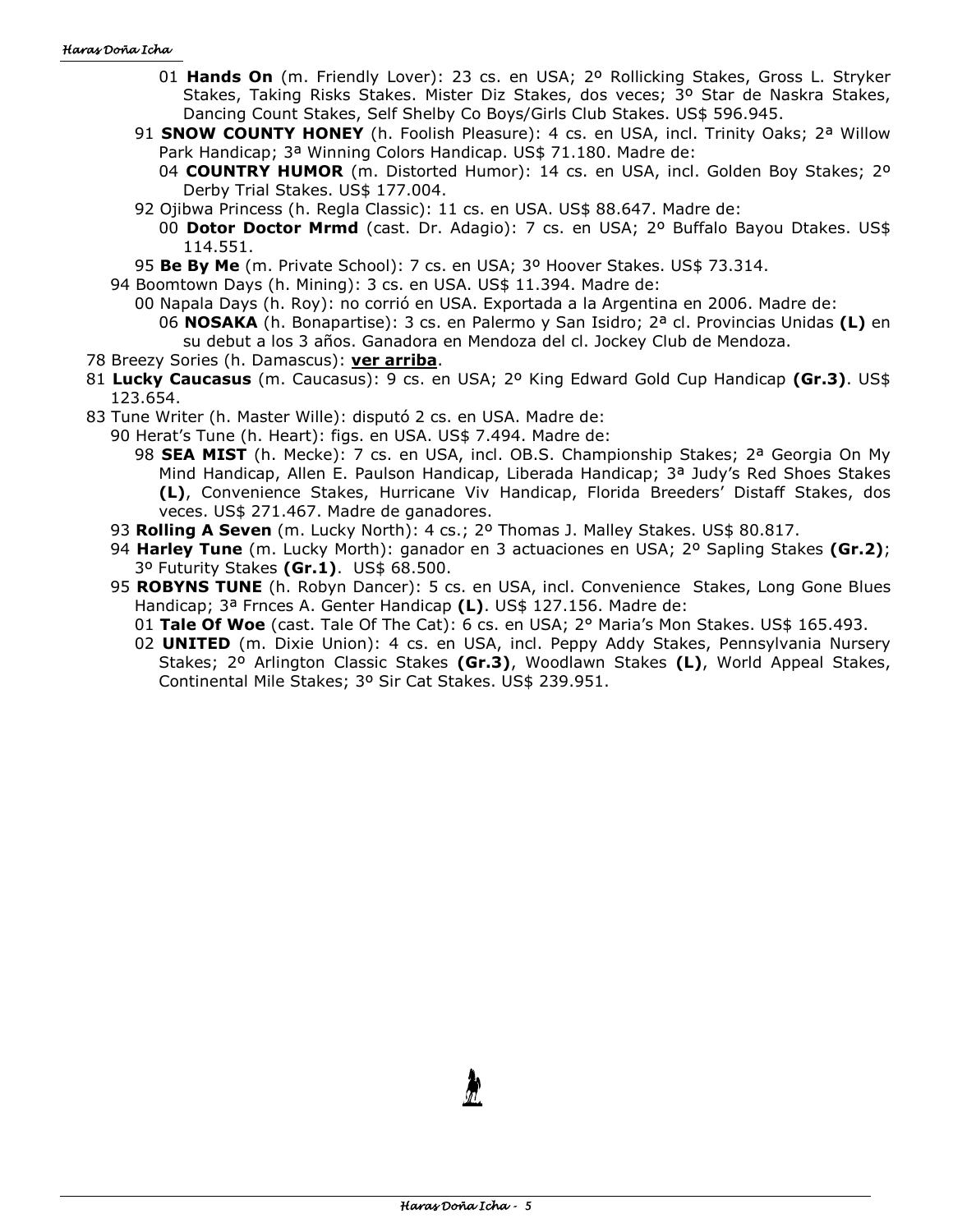- 01 **Hands On** (m. Friendly Lover): 23 cs. en USA; 2º Rollicking Stakes, Gross L. Stryker Stakes, Taking Risks Stakes. Mister Diz Stakes, dos veces; 3º Star de Naskra Stakes, Dancing Count Stakes, Self Shelby Co Boys/Girls Club Stakes. US\$ 596.945.
- 91 **SNOW COUNTY HONEY** (h. Foolish Pleasure): 4 cs. en USA, incl. Trinity Oaks; 2ª Willow Park Handicap; 3ª Winning Colors Handicap. US\$ 71.180. Madre de:
	- 04 **COUNTRY HUMOR** (m. Distorted Humor): 14 cs. en USA, incl. Golden Boy Stakes; 2º Derby Trial Stakes. US\$ 177.004.
- 92 Ojibwa Princess (h. Regla Classic): 11 cs. en USA. US\$ 88.647. Madre de:
	- 00 **Dotor Doctor Mrmd** (cast. Dr. Adagio): 7 cs. en USA; 2º Buffalo Bayou Dtakes. US\$ 114.551.
- 95 **Be By Me** (m. Private School): 7 cs. en USA; 3º Hoover Stakes. US\$ 73.314.
- 94 Boomtown Days (h. Mining): 3 cs. en USA. US\$ 11.394. Madre de:
	- 00 Napala Days (h. Roy): no corrió en USA. Exportada a la Argentina en 2006. Madre de: 06 **NOSAKA** (h. Bonapartise): 3 cs. en Palermo y San Isidro; 2ª cl. Provincias Unidas **(L)** en su debut a los 3 años. Ganadora en Mendoza del cl. Jockey Club de Mendoza.
- 78 Breezy Sories (h. Damascus): **ver arriba**.
- 81 **Lucky Caucasus** (m. Caucasus): 9 cs. en USA; 2º King Edward Gold Cup Handicap **(Gr.3)**. US\$ 123.654.
- 83 Tune Writer (h. Master Wille): disputó 2 cs. en USA. Madre de:
	- 90 Herat's Tune (h. Heart): figs. en USA. US\$ 7.494. Madre de:
		- 98 **SEA MIST** (h. Mecke): 7 cs. en USA, incl. OB.S. Championship Stakes; 2ª Georgia On My Mind Handicap, Allen E. Paulson Handicap, Liberada Handicap; 3<sup>a</sup> Judy's Red Shoes Stakes **(L)**, Convenience Stakes, Hurricane Viv Handicap, Florida Breeders' Distaff Stakes, dos veces. US\$ 271.467. Madre de ganadores.
	- 93 **Rolling A Seven** (m. Lucky North): 4 cs.; 2º Thomas J. Malley Stakes. US\$ 80.817.
	- 94 **Harley Tune** (m. Lucky Morth): ganador en 3 actuaciones en USA; 2º Sapling Stakes **(Gr.2)**; 3º Futurity Stakes **(Gr.1)**. US\$ 68.500.
	- 95 **ROBYNS TUNE** (h. Robyn Dancer): 5 cs. en USA, incl. Convenience Stakes, Long Gone Blues Handicap; 3ª Frnces A. Genter Handicap **(L)**. US\$ 127.156. Madre de:
		- 01 **Tale Of Woe** (cast. Tale Of The Cat): 6 cs. en USA; 2° Maria's Mon Stakes. US\$ 165.493.
		- 02 **UNITED** (m. Dixie Union): 4 cs. en USA, incl. Peppy Addy Stakes, Pennsylvania Nursery Stakes; 2º Arlington Classic Stakes **(Gr.3)**, Woodlawn Stakes **(L)**, World Appeal Stakes, Continental Mile Stakes; 3º Sir Cat Stakes. US\$ 239.951.